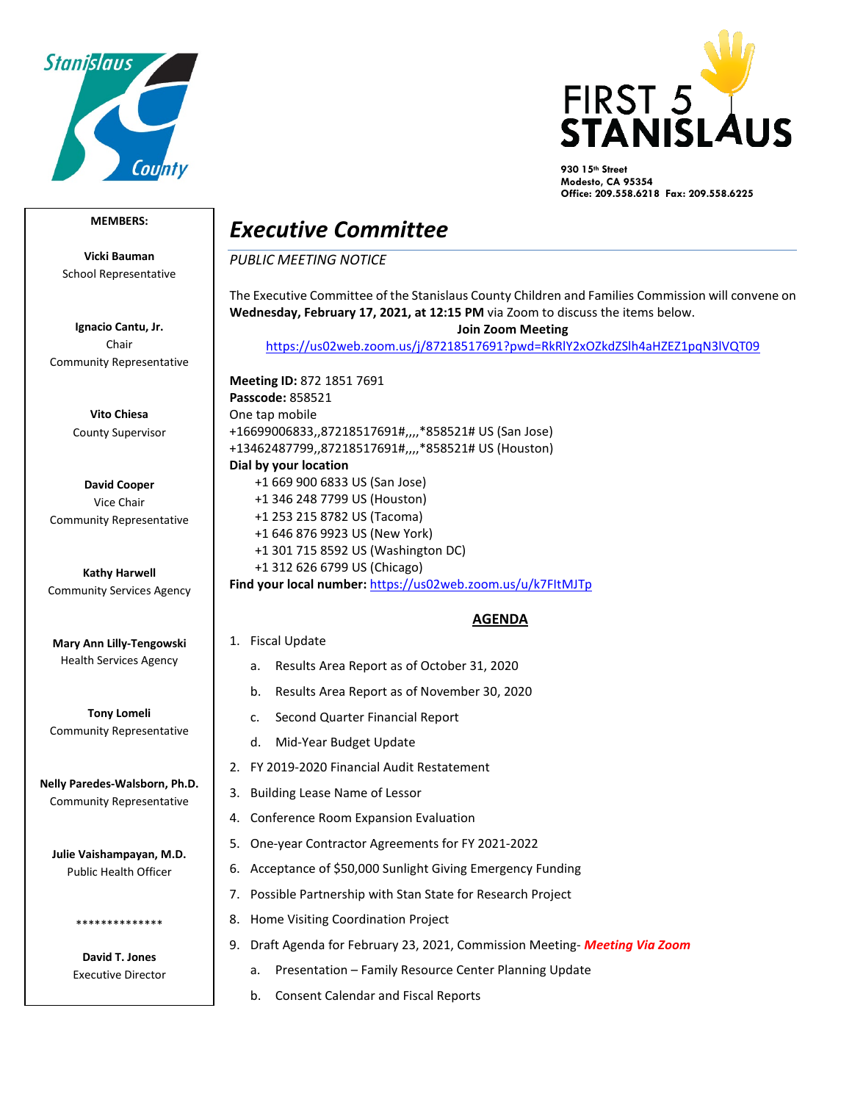



**930 15th Street Modesto, CA 95354 Office: 209.558.6218 Fax: 209.558.6225**

## **MEMBERS:**

**Vicki Bauman** School Representative

**Ignacio Cantu, Jr.** Chair Community Representative

> **Vito Chiesa** County Supervisor

**David Cooper** Vice Chair Community Representative

**Kathy Harwell** Community Services Agency

**Mary Ann Lilly-Tengowski** Health Services Agency

**Tony Lomeli** Community Representative

**Nelly Paredes-Walsborn, Ph.D.** Community Representative

**Julie Vaishampayan, M.D.** Public Health Officer

> **David T. Jones** Executive Director

\*\*\*\*\*\*\*\*\*\*\*\*\*\*

## *Executive Committee*

*PUBLIC MEETING NOTICE*

The Executive Committee of the Stanislaus County Children and Families Commission will convene on **Wednesday, February 17, 2021, at 12:15 PM** via Zoom to discuss the items below.

**Join Zoom Meeting** 

<https://us02web.zoom.us/j/87218517691?pwd=RkRlY2xOZkdZSlh4aHZEZ1pqN3lVQT09>

**Meeting ID:** 872 1851 7691 **Passcode:** 858521 One tap mobile +16699006833,,87218517691#,,,,\*858521# US (San Jose) +13462487799,,87218517691#,,,,\*858521# US (Houston) **Dial by your location** +1 669 900 6833 US (San Jose) +1 346 248 7799 US (Houston) +1 253 215 8782 US (Tacoma) +1 646 876 9923 US (New York) +1 301 715 8592 US (Washington DC) +1 312 626 6799 US (Chicago) **Find your local number:** <https://us02web.zoom.us/u/k7FItMJTp>

## **AGENDA**

- 1. Fiscal Update
	- a. Results Area Report as of October 31, 2020
	- b. Results Area Report as of November 30, 2020
	- c. Second Quarter Financial Report
	- d. Mid-Year Budget Update
- 2. FY 2019-2020 Financial Audit Restatement
- 3. Building Lease Name of Lessor
- 4. Conference Room Expansion Evaluation
- 5. One-year Contractor Agreements for FY 2021-2022
- 6. Acceptance of \$50,000 Sunlight Giving Emergency Funding
- 7. Possible Partnership with Stan State for Research Project
- 8. Home Visiting Coordination Project
- 9. Draft Agenda for February 23, 2021, Commission Meeting- *Meeting Via Zoom*
	- a. Presentation Family Resource Center Planning Update
	- b. Consent Calendar and Fiscal Reports